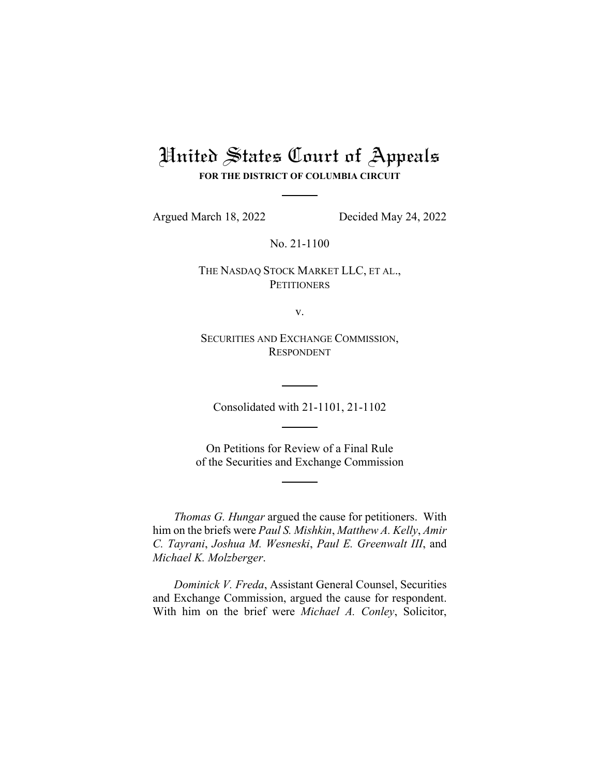# United States Court of Appeals

**FOR THE DISTRICT OF COLUMBIA CIRCUIT**

Argued March 18, 2022 Decided May 24, 2022

No. 21-1100

THE NASDAQ STOCK MARKET LLC, ET AL., **PETITIONERS** 

v.

SECURITIES AND EXCHANGE COMMISSION, RESPONDENT

Consolidated with 21-1101, 21-1102

On Petitions for Review of a Final Rule of the Securities and Exchange Commission

*Thomas G. Hungar* argued the cause for petitioners. With him on the briefs were *Paul S. Mishkin*, *Matthew A. Kelly*, *Amir C. Tayrani*, *Joshua M. Wesneski*, *Paul E. Greenwalt III*, and *Michael K. Molzberger*.

*Dominick V. Freda*, Assistant General Counsel, Securities and Exchange Commission, argued the cause for respondent. With him on the brief were *Michael A. Conley*, Solicitor,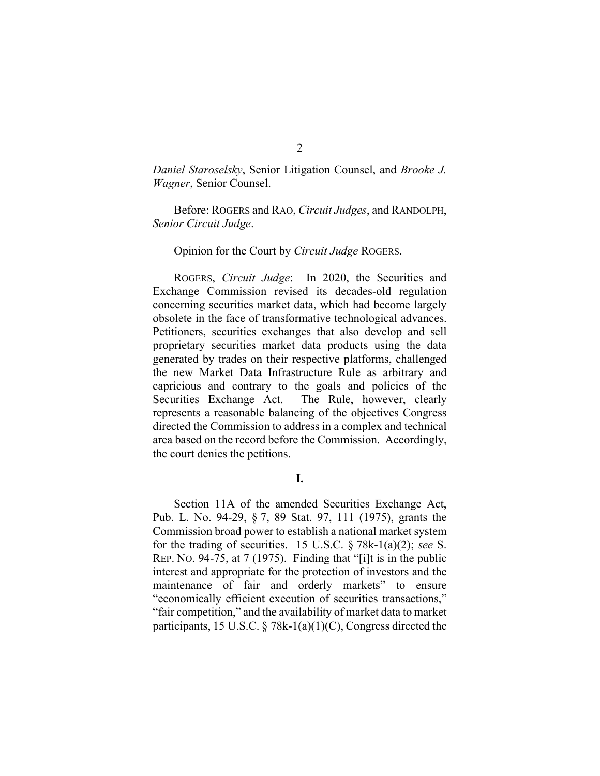*Daniel Staroselsky*, Senior Litigation Counsel, and *Brooke J. Wagner*, Senior Counsel.

Before: ROGERS and RAO, *Circuit Judges*, and RANDOLPH, *Senior Circuit Judge*.

#### Opinion for the Court by *Circuit Judge* ROGERS.

ROGERS, *Circuit Judge*: In 2020, the Securities and Exchange Commission revised its decades-old regulation concerning securities market data, which had become largely obsolete in the face of transformative technological advances. Petitioners, securities exchanges that also develop and sell proprietary securities market data products using the data generated by trades on their respective platforms, challenged the new Market Data Infrastructure Rule as arbitrary and capricious and contrary to the goals and policies of the Securities Exchange Act. The Rule, however, clearly represents a reasonable balancing of the objectives Congress directed the Commission to address in a complex and technical area based on the record before the Commission. Accordingly, the court denies the petitions.

### **I.**

Section 11A of the amended Securities Exchange Act, Pub. L. No. 94-29, § 7, 89 Stat. 97, 111 (1975), grants the Commission broad power to establish a national market system for the trading of securities. 15 U.S.C. § 78k-1(a)(2); *see* S. REP. NO. 94-75, at 7 (1975). Finding that "[i]t is in the public interest and appropriate for the protection of investors and the maintenance of fair and orderly markets" to ensure "economically efficient execution of securities transactions," "fair competition," and the availability of market data to market participants, 15 U.S.C. § 78k-1(a)(1)(C), Congress directed the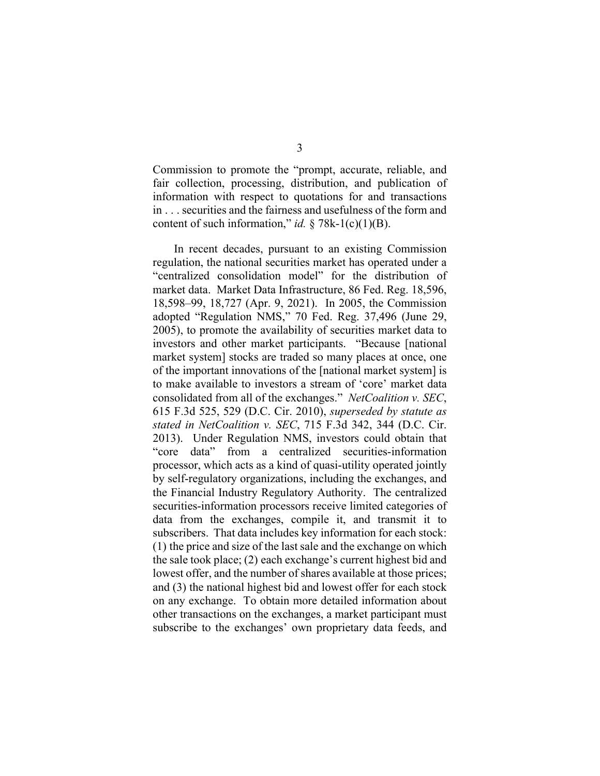Commission to promote the "prompt, accurate, reliable, and fair collection, processing, distribution, and publication of information with respect to quotations for and transactions in . . . securities and the fairness and usefulness of the form and content of such information," *id.*  $\S$  78k-1(c)(1)(B).

In recent decades, pursuant to an existing Commission regulation, the national securities market has operated under a "centralized consolidation model" for the distribution of market data. Market Data Infrastructure, 86 Fed. Reg. 18,596, 18,598–99, 18,727 (Apr. 9, 2021). In 2005, the Commission adopted "Regulation NMS," 70 Fed. Reg. 37,496 (June 29, 2005), to promote the availability of securities market data to investors and other market participants. "Because [national market system] stocks are traded so many places at once, one of the important innovations of the [national market system] is to make available to investors a stream of 'core' market data consolidated from all of the exchanges." *NetCoalition v. SEC*, 615 F.3d 525, 529 (D.C. Cir. 2010), *superseded by statute as stated in NetCoalition v. SEC*, 715 F.3d 342, 344 (D.C. Cir. 2013). Under Regulation NMS, investors could obtain that "core data" from a centralized securities-information processor, which acts as a kind of quasi-utility operated jointly by self-regulatory organizations, including the exchanges, and the Financial Industry Regulatory Authority. The centralized securities-information processors receive limited categories of data from the exchanges, compile it, and transmit it to subscribers. That data includes key information for each stock: (1) the price and size of the last sale and the exchange on which the sale took place; (2) each exchange's current highest bid and lowest offer, and the number of shares available at those prices; and (3) the national highest bid and lowest offer for each stock on any exchange. To obtain more detailed information about other transactions on the exchanges, a market participant must subscribe to the exchanges' own proprietary data feeds, and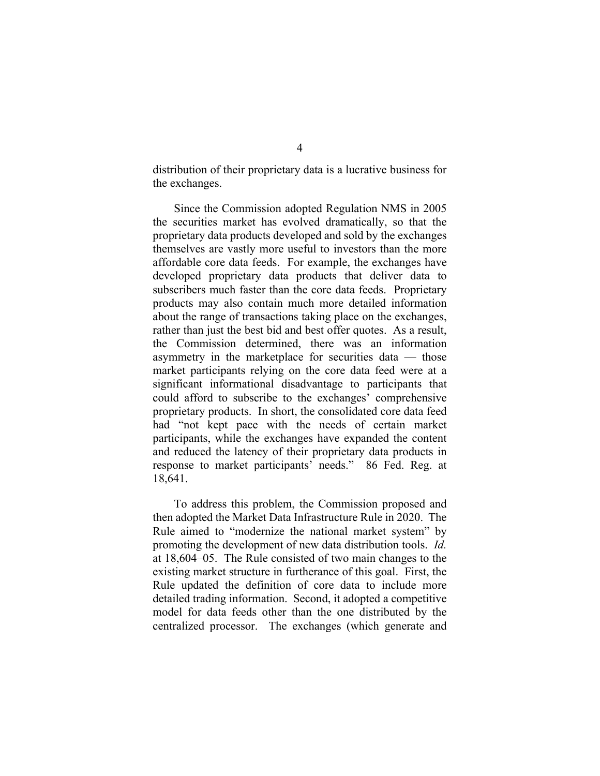distribution of their proprietary data is a lucrative business for the exchanges.

Since the Commission adopted Regulation NMS in 2005 the securities market has evolved dramatically, so that the proprietary data products developed and sold by the exchanges themselves are vastly more useful to investors than the more affordable core data feeds. For example, the exchanges have developed proprietary data products that deliver data to subscribers much faster than the core data feeds. Proprietary products may also contain much more detailed information about the range of transactions taking place on the exchanges, rather than just the best bid and best offer quotes. As a result, the Commission determined, there was an information asymmetry in the marketplace for securities data — those market participants relying on the core data feed were at a significant informational disadvantage to participants that could afford to subscribe to the exchanges' comprehensive proprietary products. In short, the consolidated core data feed had "not kept pace with the needs of certain market participants, while the exchanges have expanded the content and reduced the latency of their proprietary data products in response to market participants' needs." 86 Fed. Reg. at 18,641.

To address this problem, the Commission proposed and then adopted the Market Data Infrastructure Rule in 2020. The Rule aimed to "modernize the national market system" by promoting the development of new data distribution tools. *Id.* at 18,604–05. The Rule consisted of two main changes to the existing market structure in furtherance of this goal. First, the Rule updated the definition of core data to include more detailed trading information. Second, it adopted a competitive model for data feeds other than the one distributed by the centralized processor. The exchanges (which generate and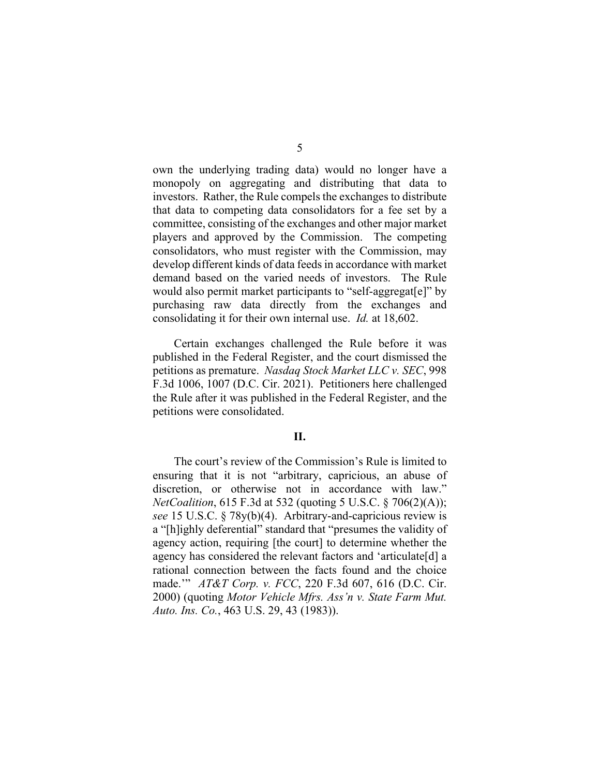own the underlying trading data) would no longer have a monopoly on aggregating and distributing that data to investors. Rather, the Rule compels the exchanges to distribute that data to competing data consolidators for a fee set by a committee, consisting of the exchanges and other major market players and approved by the Commission. The competing consolidators, who must register with the Commission, may develop different kinds of data feeds in accordance with market demand based on the varied needs of investors. The Rule would also permit market participants to "self-aggregat[e]" by purchasing raw data directly from the exchanges and consolidating it for their own internal use. *Id.* at 18,602.

Certain exchanges challenged the Rule before it was published in the Federal Register, and the court dismissed the petitions as premature. *Nasdaq Stock Market LLC v. SEC*, 998 F.3d 1006, 1007 (D.C. Cir. 2021). Petitioners here challenged the Rule after it was published in the Federal Register, and the petitions were consolidated.

## **II.**

The court's review of the Commission's Rule is limited to ensuring that it is not "arbitrary, capricious, an abuse of discretion, or otherwise not in accordance with law." *NetCoalition*, 615 F.3d at 532 (quoting 5 U.S.C. § 706(2)(A)); *see* 15 U.S.C. § 78y(b)(4). Arbitrary-and-capricious review is a "[h]ighly deferential" standard that "presumes the validity of agency action, requiring [the court] to determine whether the agency has considered the relevant factors and 'articulate[d] a rational connection between the facts found and the choice made.'" *AT&T Corp. v. FCC*, 220 F.3d 607, 616 (D.C. Cir. 2000) (quoting *Motor Vehicle Mfrs. Ass'n v. State Farm Mut. Auto. Ins. Co.*, 463 U.S. 29, 43 (1983)).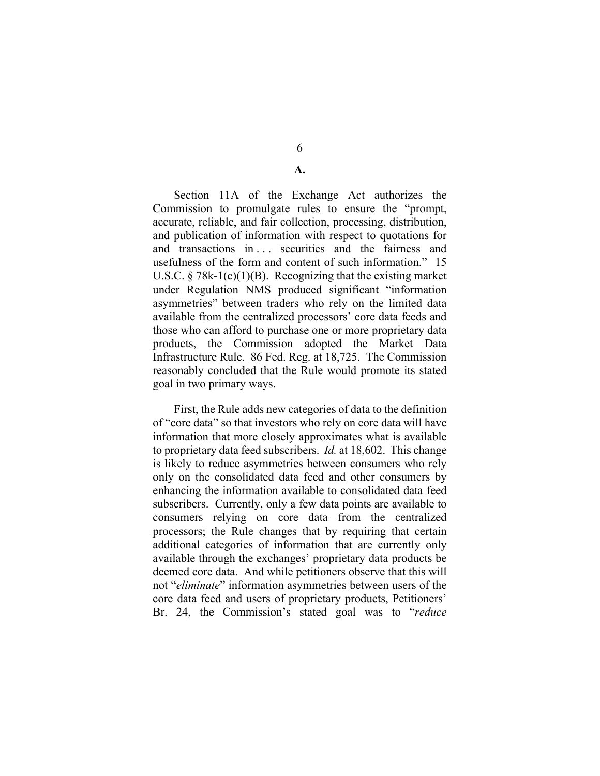6

**A.** 

Section 11A of the Exchange Act authorizes the Commission to promulgate rules to ensure the "prompt, accurate, reliable, and fair collection, processing, distribution, and publication of information with respect to quotations for and transactions in . . . securities and the fairness and usefulness of the form and content of such information." 15 U.S.C.  $\S$  78k-1(c)(1)(B). Recognizing that the existing market under Regulation NMS produced significant "information asymmetries" between traders who rely on the limited data available from the centralized processors' core data feeds and those who can afford to purchase one or more proprietary data products, the Commission adopted the Market Data Infrastructure Rule. 86 Fed. Reg. at 18,725. The Commission reasonably concluded that the Rule would promote its stated goal in two primary ways.

First, the Rule adds new categories of data to the definition of "core data" so that investors who rely on core data will have information that more closely approximates what is available to proprietary data feed subscribers. *Id.* at 18,602. This change is likely to reduce asymmetries between consumers who rely only on the consolidated data feed and other consumers by enhancing the information available to consolidated data feed subscribers. Currently, only a few data points are available to consumers relying on core data from the centralized processors; the Rule changes that by requiring that certain additional categories of information that are currently only available through the exchanges' proprietary data products be deemed core data. And while petitioners observe that this will not "*eliminate*" information asymmetries between users of the core data feed and users of proprietary products, Petitioners' Br. 24, the Commission's stated goal was to "*reduce*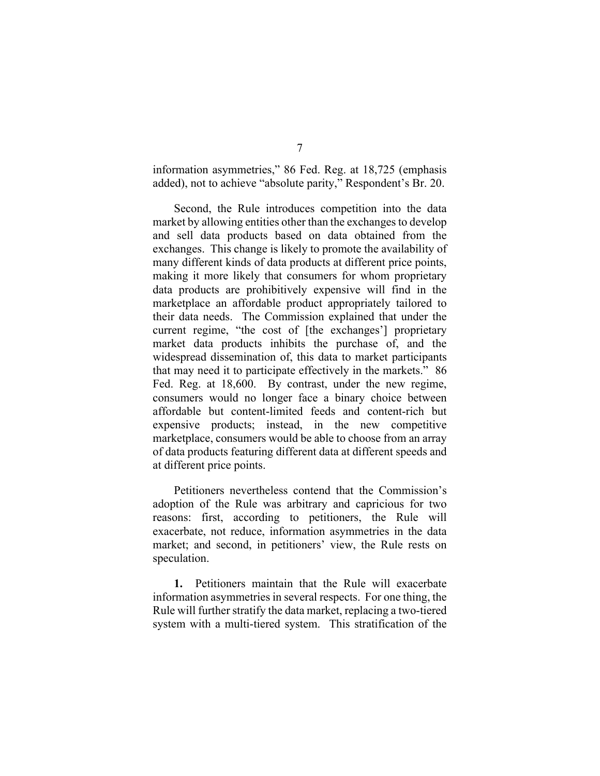information asymmetries," 86 Fed. Reg. at 18,725 (emphasis added), not to achieve "absolute parity," Respondent's Br. 20.

Second, the Rule introduces competition into the data market by allowing entities other than the exchanges to develop and sell data products based on data obtained from the exchanges. This change is likely to promote the availability of many different kinds of data products at different price points, making it more likely that consumers for whom proprietary data products are prohibitively expensive will find in the marketplace an affordable product appropriately tailored to their data needs. The Commission explained that under the current regime, "the cost of [the exchanges'] proprietary market data products inhibits the purchase of, and the widespread dissemination of, this data to market participants that may need it to participate effectively in the markets." 86 Fed. Reg. at 18,600. By contrast, under the new regime, consumers would no longer face a binary choice between affordable but content-limited feeds and content-rich but expensive products; instead, in the new competitive marketplace, consumers would be able to choose from an array of data products featuring different data at different speeds and at different price points.

Petitioners nevertheless contend that the Commission's adoption of the Rule was arbitrary and capricious for two reasons: first, according to petitioners, the Rule will exacerbate, not reduce, information asymmetries in the data market; and second, in petitioners' view, the Rule rests on speculation.

**1.** Petitioners maintain that the Rule will exacerbate information asymmetries in several respects. For one thing, the Rule will further stratify the data market, replacing a two-tiered system with a multi-tiered system. This stratification of the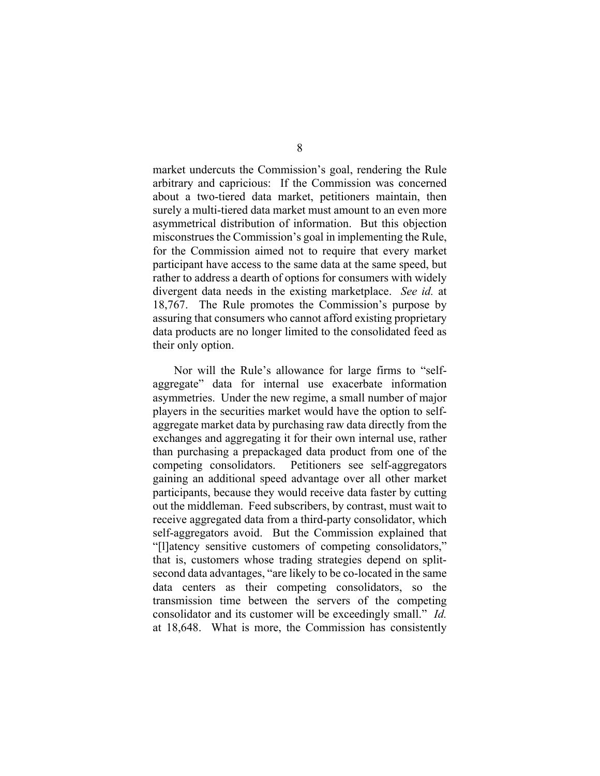market undercuts the Commission's goal, rendering the Rule arbitrary and capricious: If the Commission was concerned about a two-tiered data market, petitioners maintain, then surely a multi-tiered data market must amount to an even more asymmetrical distribution of information. But this objection misconstrues the Commission's goal in implementing the Rule, for the Commission aimed not to require that every market participant have access to the same data at the same speed, but rather to address a dearth of options for consumers with widely divergent data needs in the existing marketplace. *See id.* at 18,767. The Rule promotes the Commission's purpose by assuring that consumers who cannot afford existing proprietary data products are no longer limited to the consolidated feed as their only option.

Nor will the Rule's allowance for large firms to "selfaggregate" data for internal use exacerbate information asymmetries. Under the new regime, a small number of major players in the securities market would have the option to selfaggregate market data by purchasing raw data directly from the exchanges and aggregating it for their own internal use, rather than purchasing a prepackaged data product from one of the competing consolidators. Petitioners see self-aggregators gaining an additional speed advantage over all other market participants, because they would receive data faster by cutting out the middleman. Feed subscribers, by contrast, must wait to receive aggregated data from a third-party consolidator, which self-aggregators avoid. But the Commission explained that "[l]atency sensitive customers of competing consolidators," that is, customers whose trading strategies depend on splitsecond data advantages, "are likely to be co-located in the same data centers as their competing consolidators, so the transmission time between the servers of the competing consolidator and its customer will be exceedingly small." *Id.* at 18,648. What is more, the Commission has consistently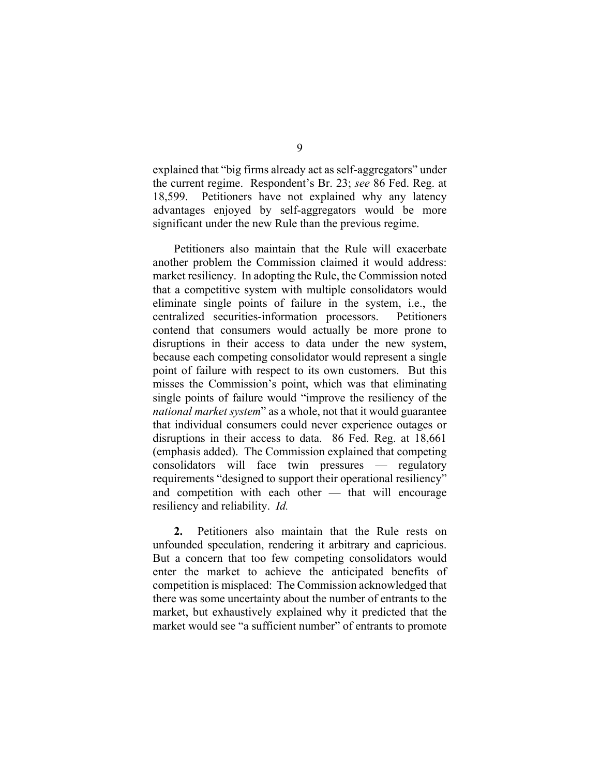explained that "big firms already act as self-aggregators" under the current regime. Respondent's Br. 23; *see* 86 Fed. Reg. at 18,599. Petitioners have not explained why any latency advantages enjoyed by self-aggregators would be more significant under the new Rule than the previous regime.

Petitioners also maintain that the Rule will exacerbate another problem the Commission claimed it would address: market resiliency. In adopting the Rule, the Commission noted that a competitive system with multiple consolidators would eliminate single points of failure in the system, i.e., the centralized securities-information processors. Petitioners contend that consumers would actually be more prone to disruptions in their access to data under the new system, because each competing consolidator would represent a single point of failure with respect to its own customers. But this misses the Commission's point, which was that eliminating single points of failure would "improve the resiliency of the *national market system*" as a whole, not that it would guarantee that individual consumers could never experience outages or disruptions in their access to data. 86 Fed. Reg. at 18,661 (emphasis added). The Commission explained that competing consolidators will face twin pressures — regulatory requirements "designed to support their operational resiliency" and competition with each other — that will encourage resiliency and reliability. *Id.*

**2.** Petitioners also maintain that the Rule rests on unfounded speculation, rendering it arbitrary and capricious. But a concern that too few competing consolidators would enter the market to achieve the anticipated benefits of competition is misplaced: The Commission acknowledged that there was some uncertainty about the number of entrants to the market, but exhaustively explained why it predicted that the market would see "a sufficient number" of entrants to promote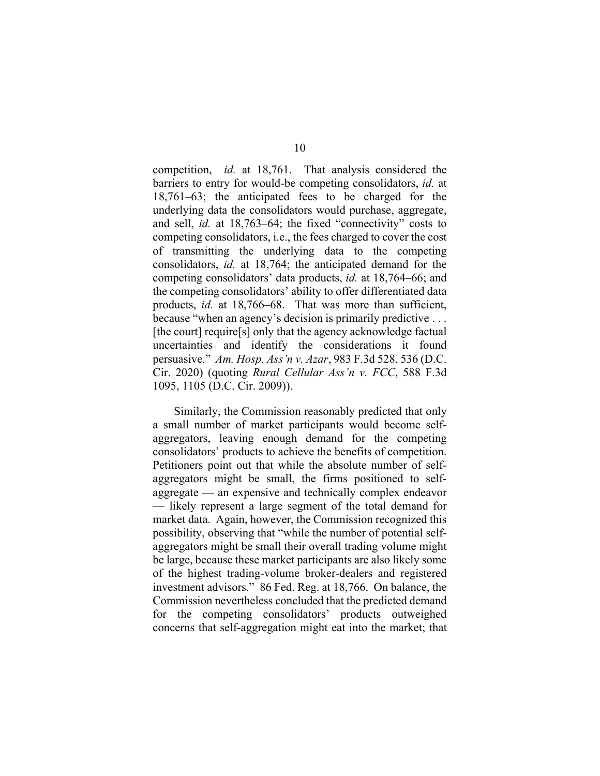competition, *id.* at 18,761. That analysis considered the barriers to entry for would-be competing consolidators, *id.* at 18,761–63; the anticipated fees to be charged for the underlying data the consolidators would purchase, aggregate, and sell, *id.* at 18,763–64; the fixed "connectivity" costs to competing consolidators, i.e., the fees charged to cover the cost of transmitting the underlying data to the competing consolidators, *id.* at 18,764; the anticipated demand for the competing consolidators' data products, *id.* at 18,764–66; and the competing consolidators' ability to offer differentiated data products, *id.* at 18,766–68. That was more than sufficient, because "when an agency's decision is primarily predictive . . . [the court] require[s] only that the agency acknowledge factual uncertainties and identify the considerations it found persuasive." *Am. Hosp. Ass'n v. Azar*, 983 F.3d 528, 536 (D.C. Cir. 2020) (quoting *Rural Cellular Ass'n v. FCC*, 588 F.3d 1095, 1105 (D.C. Cir. 2009)).

Similarly, the Commission reasonably predicted that only a small number of market participants would become selfaggregators, leaving enough demand for the competing consolidators' products to achieve the benefits of competition. Petitioners point out that while the absolute number of selfaggregators might be small, the firms positioned to selfaggregate — an expensive and technically complex endeavor — likely represent a large segment of the total demand for market data. Again, however, the Commission recognized this possibility, observing that "while the number of potential selfaggregators might be small their overall trading volume might be large, because these market participants are also likely some of the highest trading-volume broker-dealers and registered investment advisors." 86 Fed. Reg. at 18,766. On balance, the Commission nevertheless concluded that the predicted demand for the competing consolidators' products outweighed concerns that self-aggregation might eat into the market; that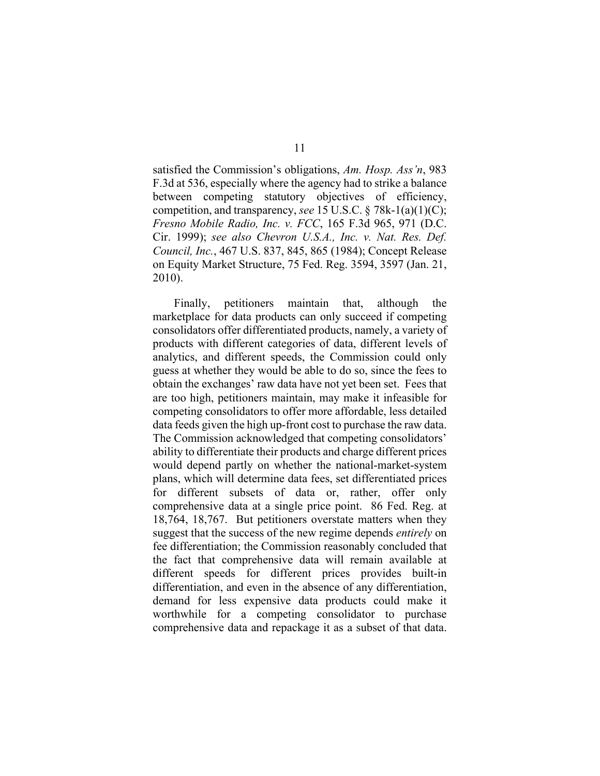satisfied the Commission's obligations, *Am. Hosp. Ass'n*, 983 F.3d at 536, especially where the agency had to strike a balance between competing statutory objectives of efficiency, competition, and transparency, *see* 15 U.S.C. § 78k-1(a)(1)(C); *Fresno Mobile Radio, Inc. v. FCC*, 165 F.3d 965, 971 (D.C. Cir. 1999); *see also Chevron U.S.A., Inc. v. Nat. Res. Def. Council, Inc.*, 467 U.S. 837, 845, 865 (1984); Concept Release on Equity Market Structure, 75 Fed. Reg. 3594, 3597 (Jan. 21, 2010).

Finally, petitioners maintain that, although the marketplace for data products can only succeed if competing consolidators offer differentiated products, namely, a variety of products with different categories of data, different levels of analytics, and different speeds, the Commission could only guess at whether they would be able to do so, since the fees to obtain the exchanges' raw data have not yet been set. Fees that are too high, petitioners maintain, may make it infeasible for competing consolidators to offer more affordable, less detailed data feeds given the high up-front cost to purchase the raw data. The Commission acknowledged that competing consolidators' ability to differentiate their products and charge different prices would depend partly on whether the national-market-system plans, which will determine data fees, set differentiated prices for different subsets of data or, rather, offer only comprehensive data at a single price point. 86 Fed. Reg. at 18,764, 18,767. But petitioners overstate matters when they suggest that the success of the new regime depends *entirely* on fee differentiation; the Commission reasonably concluded that the fact that comprehensive data will remain available at different speeds for different prices provides built-in differentiation, and even in the absence of any differentiation, demand for less expensive data products could make it worthwhile for a competing consolidator to purchase comprehensive data and repackage it as a subset of that data.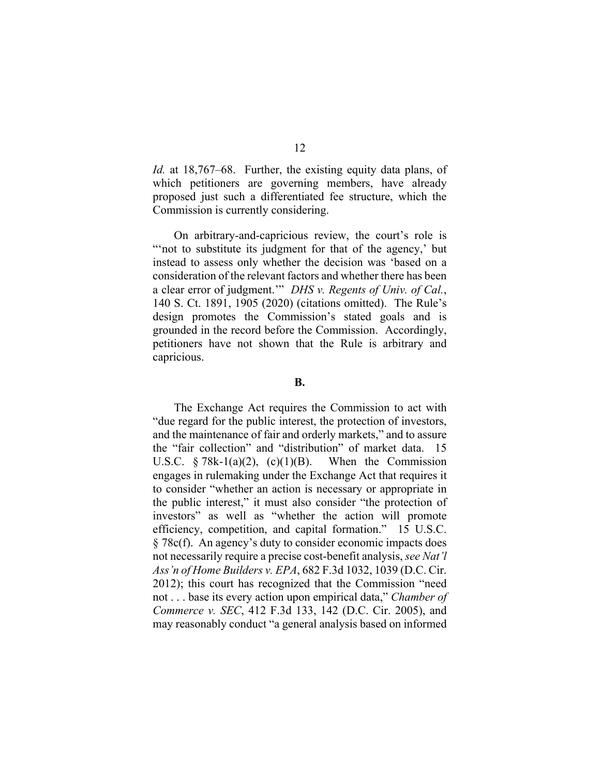*Id.* at 18,767–68. Further, the existing equity data plans, of which petitioners are governing members, have already proposed just such a differentiated fee structure, which the Commission is currently considering.

On arbitrary-and-capricious review, the court's role is "not to substitute its judgment for that of the agency,' but instead to assess only whether the decision was 'based on a consideration of the relevant factors and whether there has been a clear error of judgment.'" *DHS v. Regents of Univ. of Cal.*, 140 S. Ct. 1891, 1905 (2020) (citations omitted). The Rule's design promotes the Commission's stated goals and is grounded in the record before the Commission. Accordingly, petitioners have not shown that the Rule is arbitrary and capricious.

### **B.**

The Exchange Act requires the Commission to act with "due regard for the public interest, the protection of investors, and the maintenance of fair and orderly markets," and to assure the "fair collection" and "distribution" of market data. 15 U.S.C.  $\S 78k-1(a)(2)$ , (c)(1)(B). When the Commission engages in rulemaking under the Exchange Act that requires it to consider "whether an action is necessary or appropriate in the public interest," it must also consider "the protection of investors" as well as "whether the action will promote efficiency, competition, and capital formation." 15 U.S.C. § 78c(f). An agency's duty to consider economic impacts does not necessarily require a precise cost-benefit analysis, *see Nat'l Ass'n of Home Builders v. EPA*, 682 F.3d 1032, 1039 (D.C. Cir. 2012); this court has recognized that the Commission "need not . . . base its every action upon empirical data," *Chamber of Commerce v. SEC*, 412 F.3d 133, 142 (D.C. Cir. 2005), and may reasonably conduct "a general analysis based on informed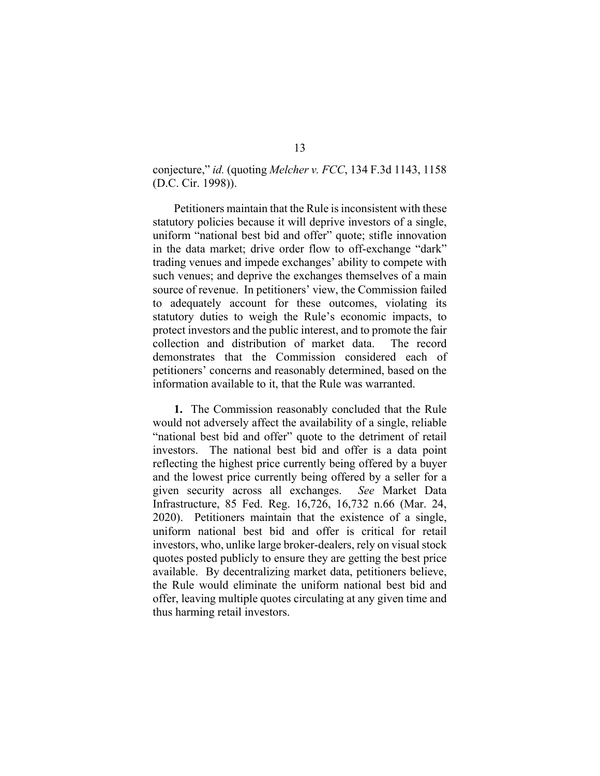## conjecture," *id.* (quoting *Melcher v. FCC*, 134 F.3d 1143, 1158 (D.C. Cir. 1998)).

Petitioners maintain that the Rule is inconsistent with these statutory policies because it will deprive investors of a single, uniform "national best bid and offer" quote; stifle innovation in the data market; drive order flow to off-exchange "dark" trading venues and impede exchanges' ability to compete with such venues; and deprive the exchanges themselves of a main source of revenue. In petitioners' view, the Commission failed to adequately account for these outcomes, violating its statutory duties to weigh the Rule's economic impacts, to protect investors and the public interest, and to promote the fair collection and distribution of market data. The record demonstrates that the Commission considered each of petitioners' concerns and reasonably determined, based on the information available to it, that the Rule was warranted.

**1.** The Commission reasonably concluded that the Rule would not adversely affect the availability of a single, reliable "national best bid and offer" quote to the detriment of retail investors. The national best bid and offer is a data point reflecting the highest price currently being offered by a buyer and the lowest price currently being offered by a seller for a given security across all exchanges. *See* Market Data Infrastructure, 85 Fed. Reg. 16,726, 16,732 n.66 (Mar. 24, 2020). Petitioners maintain that the existence of a single, uniform national best bid and offer is critical for retail investors, who, unlike large broker-dealers, rely on visual stock quotes posted publicly to ensure they are getting the best price available. By decentralizing market data, petitioners believe, the Rule would eliminate the uniform national best bid and offer, leaving multiple quotes circulating at any given time and thus harming retail investors.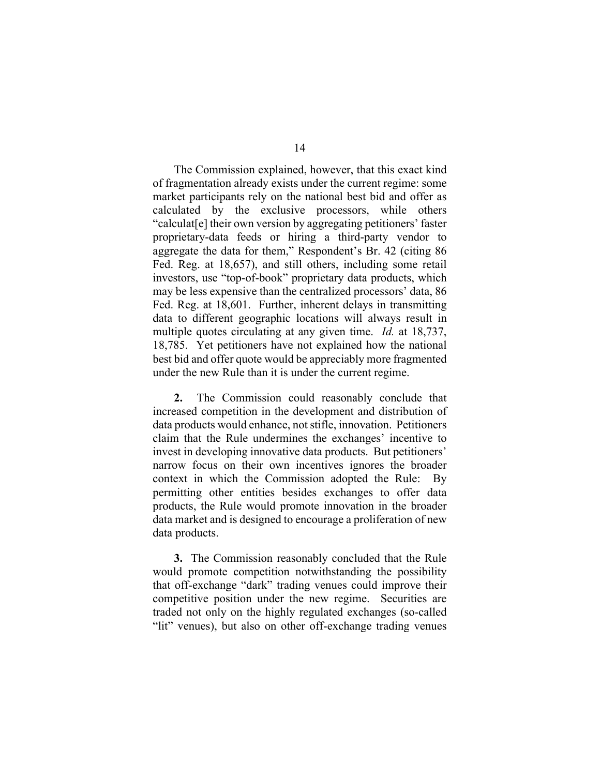The Commission explained, however, that this exact kind of fragmentation already exists under the current regime: some market participants rely on the national best bid and offer as calculated by the exclusive processors, while others "calculat[e] their own version by aggregating petitioners' faster proprietary-data feeds or hiring a third-party vendor to aggregate the data for them," Respondent's Br. 42 (citing 86 Fed. Reg. at 18,657), and still others, including some retail investors, use "top-of-book" proprietary data products, which may be less expensive than the centralized processors' data, 86 Fed. Reg. at 18,601. Further, inherent delays in transmitting data to different geographic locations will always result in multiple quotes circulating at any given time. *Id.* at 18,737, 18,785. Yet petitioners have not explained how the national best bid and offer quote would be appreciably more fragmented under the new Rule than it is under the current regime.

**2.** The Commission could reasonably conclude that increased competition in the development and distribution of data products would enhance, not stifle, innovation. Petitioners claim that the Rule undermines the exchanges' incentive to invest in developing innovative data products. But petitioners' narrow focus on their own incentives ignores the broader context in which the Commission adopted the Rule: By permitting other entities besides exchanges to offer data products, the Rule would promote innovation in the broader data market and is designed to encourage a proliferation of new data products.

**3.** The Commission reasonably concluded that the Rule would promote competition notwithstanding the possibility that off-exchange "dark" trading venues could improve their competitive position under the new regime. Securities are traded not only on the highly regulated exchanges (so-called "lit" venues), but also on other off-exchange trading venues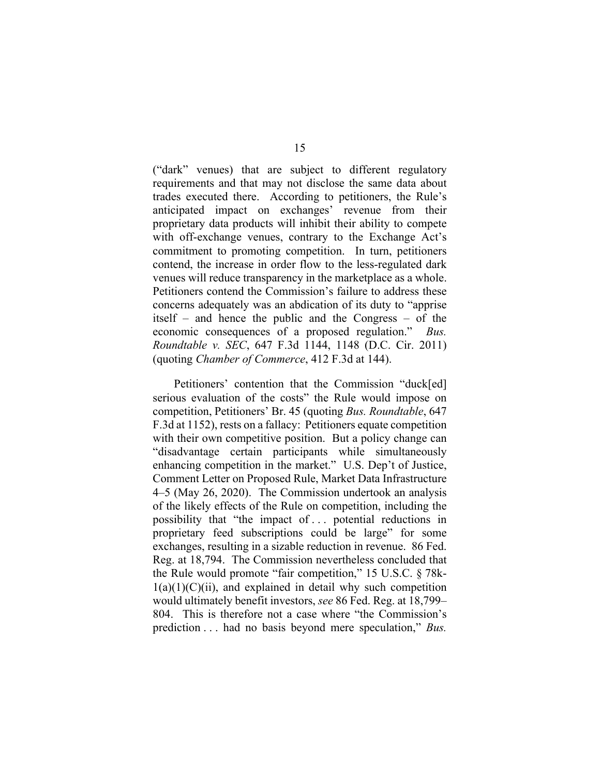("dark" venues) that are subject to different regulatory requirements and that may not disclose the same data about trades executed there. According to petitioners, the Rule's anticipated impact on exchanges' revenue from their proprietary data products will inhibit their ability to compete with off-exchange venues, contrary to the Exchange Act's commitment to promoting competition. In turn, petitioners contend, the increase in order flow to the less-regulated dark venues will reduce transparency in the marketplace as a whole. Petitioners contend the Commission's failure to address these concerns adequately was an abdication of its duty to "apprise itself – and hence the public and the Congress – of the economic consequences of a proposed regulation." *Bus. Roundtable v. SEC*, 647 F.3d 1144, 1148 (D.C. Cir. 2011) (quoting *Chamber of Commerce*, 412 F.3d at 144).

Petitioners' contention that the Commission "duck[ed] serious evaluation of the costs" the Rule would impose on competition, Petitioners' Br. 45 (quoting *Bus. Roundtable*, 647 F.3d at 1152), rests on a fallacy: Petitioners equate competition with their own competitive position. But a policy change can "disadvantage certain participants while simultaneously enhancing competition in the market." U.S. Dep't of Justice, Comment Letter on Proposed Rule, Market Data Infrastructure 4–5 (May 26, 2020). The Commission undertook an analysis of the likely effects of the Rule on competition, including the possibility that "the impact of . . . potential reductions in proprietary feed subscriptions could be large" for some exchanges, resulting in a sizable reduction in revenue. 86 Fed. Reg. at 18,794. The Commission nevertheless concluded that the Rule would promote "fair competition," 15 U.S.C. § 78k- $1(a)(1)(C)(ii)$ , and explained in detail why such competition would ultimately benefit investors, *see* 86 Fed. Reg. at 18,799– 804. This is therefore not a case where "the Commission's prediction . . . had no basis beyond mere speculation," *Bus.*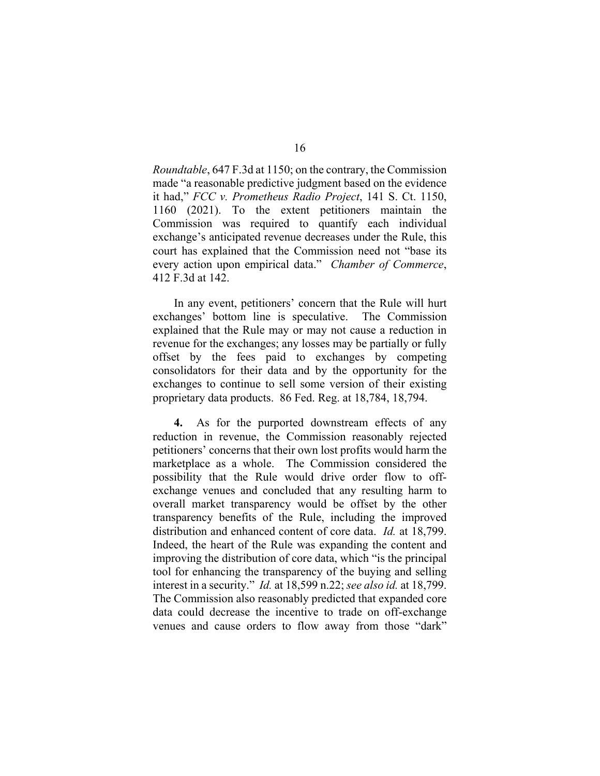*Roundtable*, 647 F.3d at 1150; on the contrary, the Commission made "a reasonable predictive judgment based on the evidence it had," *FCC v. Prometheus Radio Project*, 141 S. Ct. 1150, 1160 (2021). To the extent petitioners maintain the Commission was required to quantify each individual exchange's anticipated revenue decreases under the Rule, this court has explained that the Commission need not "base its every action upon empirical data." *Chamber of Commerce*, 412 F.3d at 142.

In any event, petitioners' concern that the Rule will hurt exchanges' bottom line is speculative. The Commission explained that the Rule may or may not cause a reduction in revenue for the exchanges; any losses may be partially or fully offset by the fees paid to exchanges by competing consolidators for their data and by the opportunity for the exchanges to continue to sell some version of their existing proprietary data products. 86 Fed. Reg. at 18,784, 18,794.

**4.** As for the purported downstream effects of any reduction in revenue, the Commission reasonably rejected petitioners' concerns that their own lost profits would harm the marketplace as a whole. The Commission considered the possibility that the Rule would drive order flow to offexchange venues and concluded that any resulting harm to overall market transparency would be offset by the other transparency benefits of the Rule, including the improved distribution and enhanced content of core data. *Id.* at 18,799. Indeed, the heart of the Rule was expanding the content and improving the distribution of core data, which "is the principal tool for enhancing the transparency of the buying and selling interest in a security." *Id.* at 18,599 n.22; *see also id.* at 18,799. The Commission also reasonably predicted that expanded core data could decrease the incentive to trade on off-exchange venues and cause orders to flow away from those "dark"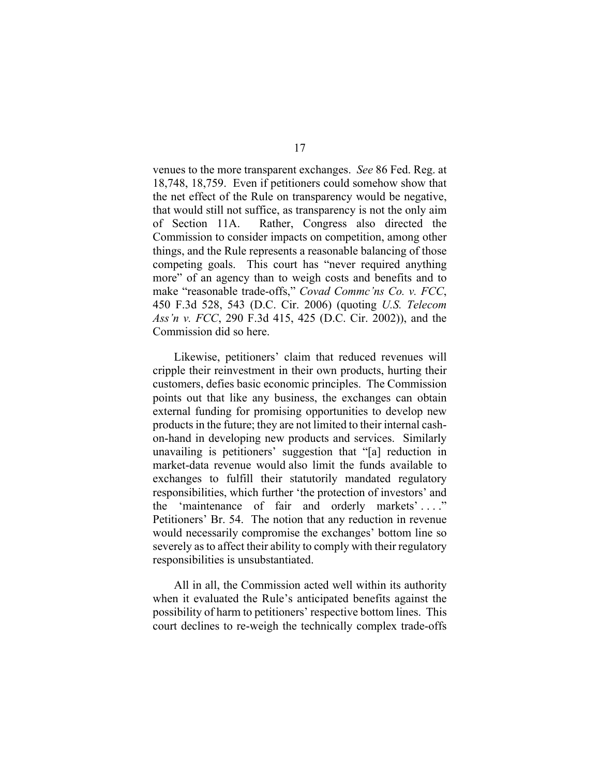venues to the more transparent exchanges. *See* 86 Fed. Reg. at 18,748, 18,759. Even if petitioners could somehow show that the net effect of the Rule on transparency would be negative, that would still not suffice, as transparency is not the only aim of Section 11A. Rather, Congress also directed the Commission to consider impacts on competition, among other things, and the Rule represents a reasonable balancing of those competing goals. This court has "never required anything more" of an agency than to weigh costs and benefits and to make "reasonable trade-offs," *Covad Commc'ns Co. v. FCC*, 450 F.3d 528, 543 (D.C. Cir. 2006) (quoting *U.S. Telecom Ass'n v. FCC*, 290 F.3d 415, 425 (D.C. Cir. 2002)), and the Commission did so here.

Likewise, petitioners' claim that reduced revenues will cripple their reinvestment in their own products, hurting their customers, defies basic economic principles. The Commission points out that like any business, the exchanges can obtain external funding for promising opportunities to develop new products in the future; they are not limited to their internal cashon-hand in developing new products and services. Similarly unavailing is petitioners' suggestion that "[a] reduction in market-data revenue would also limit the funds available to exchanges to fulfill their statutorily mandated regulatory responsibilities, which further 'the protection of investors' and the 'maintenance of fair and orderly markets' . . . ." Petitioners' Br. 54. The notion that any reduction in revenue would necessarily compromise the exchanges' bottom line so severely as to affect their ability to comply with their regulatory responsibilities is unsubstantiated.

All in all, the Commission acted well within its authority when it evaluated the Rule's anticipated benefits against the possibility of harm to petitioners' respective bottom lines. This court declines to re-weigh the technically complex trade-offs